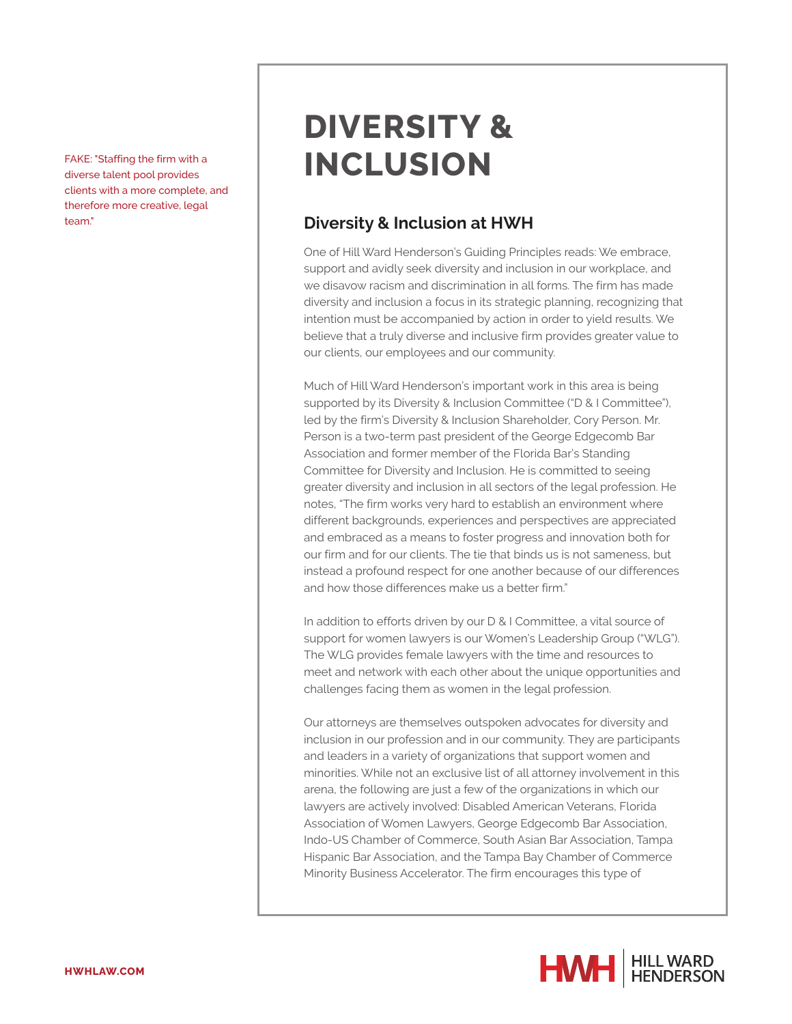diverse talent pool provides clients with a more complete, and therefore more creative, legal

## **DIVERSITY &** FAKE: "Staffing the firm with a **INCLUSION**

## team." **Diversity & Inclusion at HWH**

One of Hill Ward Henderson's Guiding Principles reads: We embrace, support and avidly seek diversity and inclusion in our workplace, and we disavow racism and discrimination in all forms. The firm has made diversity and inclusion a focus in its strategic planning, recognizing that intention must be accompanied by action in order to yield results. We believe that a truly diverse and inclusive firm provides greater value to our clients, our employees and our community.

Much of Hill Ward Henderson's important work in this area is being supported by its Diversity & Inclusion Committee ("D & I Committee"), led by the firm's Diversity & Inclusion Shareholder, Cory Person. Mr. Person is a two-term past president of the George Edgecomb Bar Association and former member of the Florida Bar's Standing Committee for Diversity and Inclusion. He is committed to seeing greater diversity and inclusion in all sectors of the legal profession. He notes, "The firm works very hard to establish an environment where different backgrounds, experiences and perspectives are appreciated and embraced as a means to foster progress and innovation both for our firm and for our clients. The tie that binds us is not sameness, but instead a profound respect for one another because of our differences and how those differences make us a better firm."

In addition to efforts driven by our D & I Committee, a vital source of support for women lawyers is our Women's Leadership Group ("WLG"). The WLG provides female lawyers with the time and resources to meet and network with each other about the unique opportunities and challenges facing them as women in the legal profession.

Our attorneys are themselves outspoken advocates for diversity and inclusion in our profession and in our community. They are participants and leaders in a variety of organizations that support women and minorities. While not an exclusive list of all attorney involvement in this arena, the following are just a few of the organizations in which our lawyers are actively involved: Disabled American Veterans, Florida Association of Women Lawyers, George Edgecomb Bar Association, Indo-US Chamber of Commerce, South Asian Bar Association, Tampa Hispanic Bar Association, and the Tampa Bay Chamber of Commerce Minority Business Accelerator. The firm encourages this type of